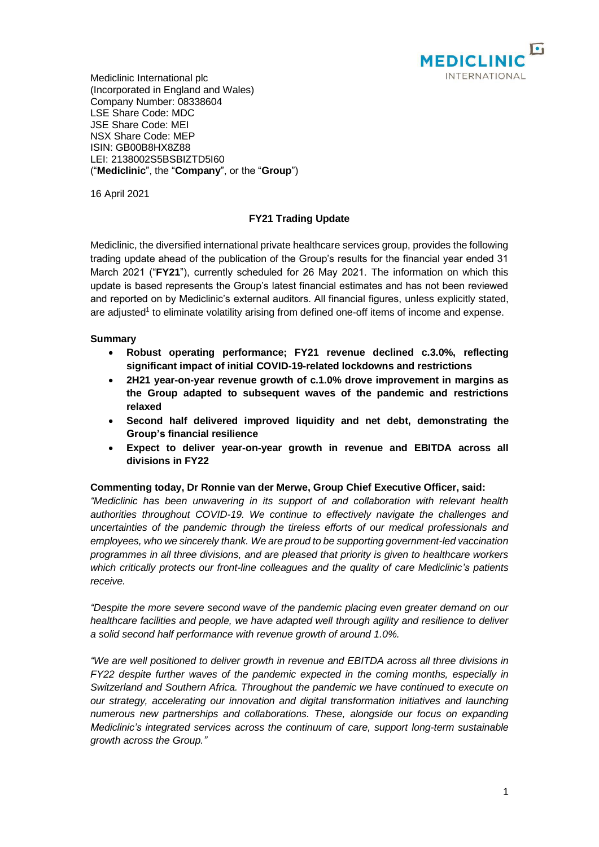

Mediclinic International plc (Incorporated in England and Wales) Company Number: 08338604 LSE Share Code: MDC JSE Share Code: MEI NSX Share Code: MEP ISIN: GB00B8HX8Z88 LEI: 2138002S5BSBIZTD5I60 ("**Mediclinic**", the "**Company**", or the "**Group**")

16 April 2021

# **FY21 Trading Update**

Mediclinic, the diversified international private healthcare services group, provides the following trading update ahead of the publication of the Group's results for the financial year ended 31 March 2021 ("**FY21**"), currently scheduled for 26 May 2021. The information on which this update is based represents the Group's latest financial estimates and has not been reviewed and reported on by Mediclinic's external auditors. All financial figures, unless explicitly stated, are adjusted<sup>1</sup> to eliminate volatility arising from defined one-off items of income and expense.

### **Summary**

- **Robust operating performance; FY21 revenue declined c.3.0%, reflecting significant impact of initial COVID-19-related lockdowns and restrictions**
- **2H21 year-on-year revenue growth of c.1.0% drove improvement in margins as the Group adapted to subsequent waves of the pandemic and restrictions relaxed**
- **Second half delivered improved liquidity and net debt, demonstrating the Group's financial resilience**
- **Expect to deliver year-on-year growth in revenue and EBITDA across all divisions in FY22**

#### **Commenting today, Dr Ronnie van der Merwe, Group Chief Executive Officer, said:**

*"Mediclinic has been unwavering in its support of and collaboration with relevant health authorities throughout COVID-19. We continue to effectively navigate the challenges and uncertainties of the pandemic through the tireless efforts of our medical professionals and employees, who we sincerely thank. We are proud to be supporting government-led vaccination programmes in all three divisions, and are pleased that priority is given to healthcare workers which critically protects our front-line colleagues and the quality of care Mediclinic's patients receive.*

*"Despite the more severe second wave of the pandemic placing even greater demand on our healthcare facilities and people, we have adapted well through agility and resilience to deliver a solid second half performance with revenue growth of around 1.0%.*

*"We are well positioned to deliver growth in revenue and EBITDA across all three divisions in FY22 despite further waves of the pandemic expected in the coming months, especially in Switzerland and Southern Africa. Throughout the pandemic we have continued to execute on our strategy, accelerating our innovation and digital transformation initiatives and launching numerous new partnerships and collaborations. These, alongside our focus on expanding Mediclinic's integrated services across the continuum of care, support long-term sustainable growth across the Group."*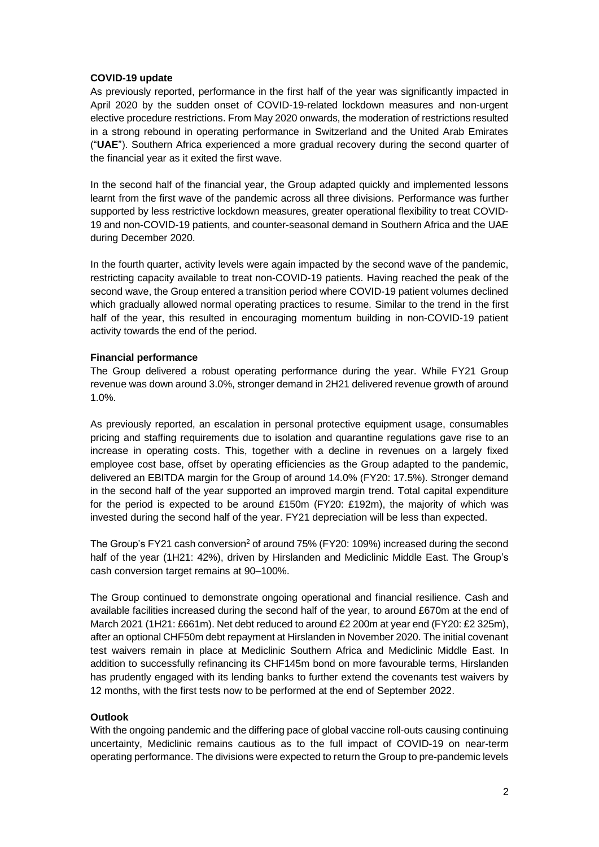### **COVID-19 update**

As previously reported, performance in the first half of the year was significantly impacted in April 2020 by the sudden onset of COVID-19-related lockdown measures and non-urgent elective procedure restrictions. From May 2020 onwards, the moderation of restrictions resulted in a strong rebound in operating performance in Switzerland and the United Arab Emirates ("**UAE**"). Southern Africa experienced a more gradual recovery during the second quarter of the financial year as it exited the first wave.

In the second half of the financial year, the Group adapted quickly and implemented lessons learnt from the first wave of the pandemic across all three divisions. Performance was further supported by less restrictive lockdown measures, greater operational flexibility to treat COVID-19 and non-COVID-19 patients, and counter-seasonal demand in Southern Africa and the UAE during December 2020.

In the fourth quarter, activity levels were again impacted by the second wave of the pandemic, restricting capacity available to treat non-COVID-19 patients. Having reached the peak of the second wave, the Group entered a transition period where COVID-19 patient volumes declined which gradually allowed normal operating practices to resume. Similar to the trend in the first half of the year, this resulted in encouraging momentum building in non-COVID-19 patient activity towards the end of the period.

### **Financial performance**

The Group delivered a robust operating performance during the year. While FY21 Group revenue was down around 3.0%, stronger demand in 2H21 delivered revenue growth of around 1.0%.

As previously reported, an escalation in personal protective equipment usage, consumables pricing and staffing requirements due to isolation and quarantine regulations gave rise to an increase in operating costs. This, together with a decline in revenues on a largely fixed employee cost base, offset by operating efficiencies as the Group adapted to the pandemic, delivered an EBITDA margin for the Group of around 14.0% (FY20: 17.5%). Stronger demand in the second half of the year supported an improved margin trend. Total capital expenditure for the period is expected to be around £150m (FY20: £192m), the majority of which was invested during the second half of the year. FY21 depreciation will be less than expected.

The Group's FY21 cash conversion<sup>2</sup> of around 75% (FY20: 109%) increased during the second half of the year (1H21: 42%), driven by Hirslanden and Mediclinic Middle East. The Group's cash conversion target remains at 90–100%.

The Group continued to demonstrate ongoing operational and financial resilience. Cash and available facilities increased during the second half of the year, to around £670m at the end of March 2021 (1H21: £661m). Net debt reduced to around £2 200m at year end (FY20: £2 325m), after an optional CHF50m debt repayment at Hirslanden in November 2020. The initial covenant test waivers remain in place at Mediclinic Southern Africa and Mediclinic Middle East. In addition to successfully refinancing its CHF145m bond on more favourable terms, Hirslanden has prudently engaged with its lending banks to further extend the covenants test waivers by 12 months, with the first tests now to be performed at the end of September 2022.

## **Outlook**

With the ongoing pandemic and the differing pace of global vaccine roll-outs causing continuing uncertainty, Mediclinic remains cautious as to the full impact of COVID-19 on near-term operating performance. The divisions were expected to return the Group to pre-pandemic levels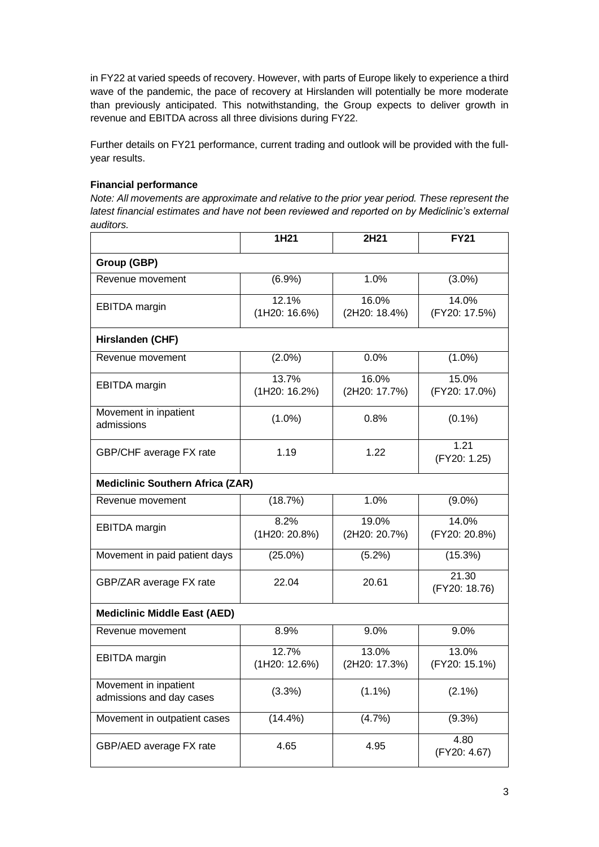in FY22 at varied speeds of recovery. However, with parts of Europe likely to experience a third wave of the pandemic, the pace of recovery at Hirslanden will potentially be more moderate than previously anticipated. This notwithstanding, the Group expects to deliver growth in revenue and EBITDA across all three divisions during FY22.

Further details on FY21 performance, current trading and outlook will be provided with the fullyear results.

# **Financial performance**

*Note: All movements are approximate and relative to the prior year period. These represent the latest financial estimates and have not been reviewed and reported on by Mediclinic's external auditors.*

|                                                   | 1H21                   | 2H21                   | <b>FY21</b>            |
|---------------------------------------------------|------------------------|------------------------|------------------------|
| Group (GBP)                                       |                        |                        |                        |
| Revenue movement                                  | (6.9%)                 | 1.0%                   | $(3.0\%)$              |
| <b>EBITDA</b> margin                              | 12.1%<br>(1H20: 16.6%) | 16.0%<br>(2H20: 18.4%) | 14.0%<br>(FY20: 17.5%) |
| Hirslanden (CHF)                                  |                        |                        |                        |
| Revenue movement                                  | $(2.0\%)$              | 0.0%                   | $(1.0\%)$              |
| <b>EBITDA</b> margin                              | 13.7%<br>(1H20: 16.2%) | 16.0%<br>(2H20: 17.7%) | 15.0%<br>(FY20: 17.0%) |
| Movement in inpatient<br>admissions               | $(1.0\%)$              | 0.8%                   | $(0.1\%)$              |
| GBP/CHF average FX rate                           | 1.19                   | 1.22                   | 1.21<br>(FY20: 1.25)   |
| <b>Mediclinic Southern Africa (ZAR)</b>           |                        |                        |                        |
| Revenue movement                                  | (18.7%)                | 1.0%                   | $(9.0\%)$              |
| <b>EBITDA</b> margin                              | 8.2%<br>(1H20: 20.8%)  | 19.0%<br>(2H20: 20.7%) | 14.0%<br>(FY20: 20.8%) |
| Movement in paid patient days                     | $(25.0\%)$             | $(5.2\%)$              | (15.3%)                |
| GBP/ZAR average FX rate                           | 22.04                  | 20.61                  | 21.30<br>(FY20: 18.76) |
| <b>Mediclinic Middle East (AED)</b>               |                        |                        |                        |
| Revenue movement                                  | 8.9%                   | 9.0%                   | 9.0%                   |
| <b>EBITDA</b> margin                              | 12.7%<br>(1H20: 12.6%) | 13.0%<br>(2H20: 17.3%) | 13.0%<br>(FY20: 15.1%) |
| Movement in inpatient<br>admissions and day cases | (3.3%)                 | $(1.1\%)$              | $(2.1\%)$              |
| Movement in outpatient cases                      | $(14.4\%)$             | (4.7%)                 | $(9.3\%)$              |
| GBP/AED average FX rate                           | 4.65                   | 4.95                   | 4.80<br>(FY20: 4.67)   |

 $\overline{\phantom{0}}$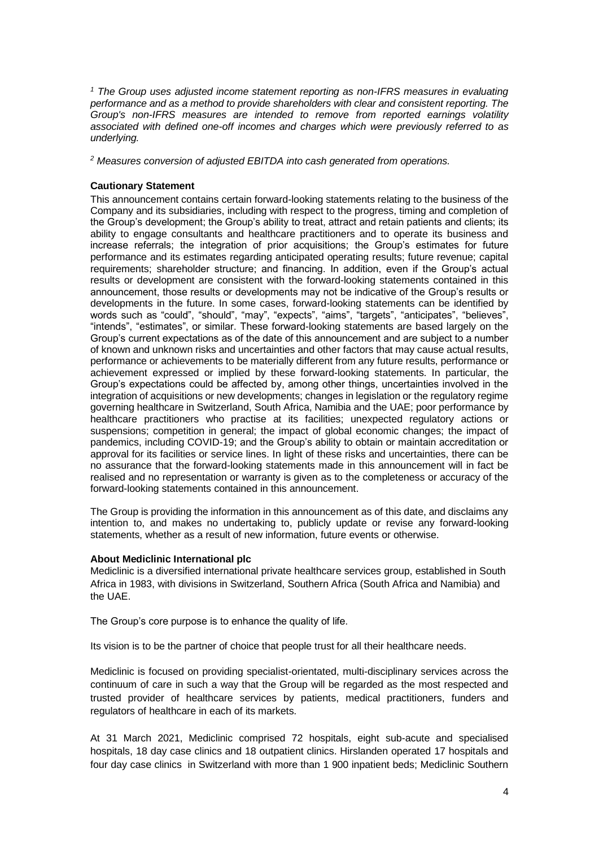*<sup>1</sup> The Group uses adjusted income statement reporting as non-IFRS measures in evaluating performance and as a method to provide shareholders with clear and consistent reporting. The Group's non-IFRS measures are intended to remove from reported earnings volatility associated with defined one-off incomes and charges which were previously referred to as underlying.*

*<sup>2</sup> Measures conversion of adjusted EBITDA into cash generated from operations.*

## **Cautionary Statement**

This announcement contains certain forward-looking statements relating to the business of the Company and its subsidiaries, including with respect to the progress, timing and completion of the Group's development; the Group's ability to treat, attract and retain patients and clients; its ability to engage consultants and healthcare practitioners and to operate its business and increase referrals; the integration of prior acquisitions; the Group's estimates for future performance and its estimates regarding anticipated operating results; future revenue; capital requirements; shareholder structure; and financing. In addition, even if the Group's actual results or development are consistent with the forward-looking statements contained in this announcement, those results or developments may not be indicative of the Group's results or developments in the future. In some cases, forward-looking statements can be identified by words such as "could", "should", "may", "expects", "aims", "targets", "anticipates", "believes", "intends", "estimates", or similar. These forward-looking statements are based largely on the Group's current expectations as of the date of this announcement and are subject to a number of known and unknown risks and uncertainties and other factors that may cause actual results, performance or achievements to be materially different from any future results, performance or achievement expressed or implied by these forward-looking statements. In particular, the Group's expectations could be affected by, among other things, uncertainties involved in the integration of acquisitions or new developments; changes in legislation or the regulatory regime governing healthcare in Switzerland, South Africa, Namibia and the UAE; poor performance by healthcare practitioners who practise at its facilities; unexpected regulatory actions or suspensions; competition in general; the impact of global economic changes; the impact of pandemics, including COVID-19; and the Group's ability to obtain or maintain accreditation or approval for its facilities or service lines. In light of these risks and uncertainties, there can be no assurance that the forward-looking statements made in this announcement will in fact be realised and no representation or warranty is given as to the completeness or accuracy of the forward-looking statements contained in this announcement.

The Group is providing the information in this announcement as of this date, and disclaims any intention to, and makes no undertaking to, publicly update or revise any forward-looking statements, whether as a result of new information, future events or otherwise.

## **About Mediclinic International plc**

Mediclinic is a diversified international private healthcare services group, established in South Africa in 1983, with divisions in Switzerland, Southern Africa (South Africa and Namibia) and the UAE.

The Group's core purpose is to enhance the quality of life.

Its vision is to be the partner of choice that people trust for all their healthcare needs.

Mediclinic is focused on providing specialist-orientated, multi-disciplinary services across the continuum of care in such a way that the Group will be regarded as the most respected and trusted provider of healthcare services by patients, medical practitioners, funders and regulators of healthcare in each of its markets.

At 31 March 2021, Mediclinic comprised 72 hospitals, eight sub-acute and specialised hospitals, 18 day case clinics and 18 outpatient clinics. Hirslanden operated 17 hospitals and four day case clinics in Switzerland with more than 1 900 inpatient beds; Mediclinic Southern